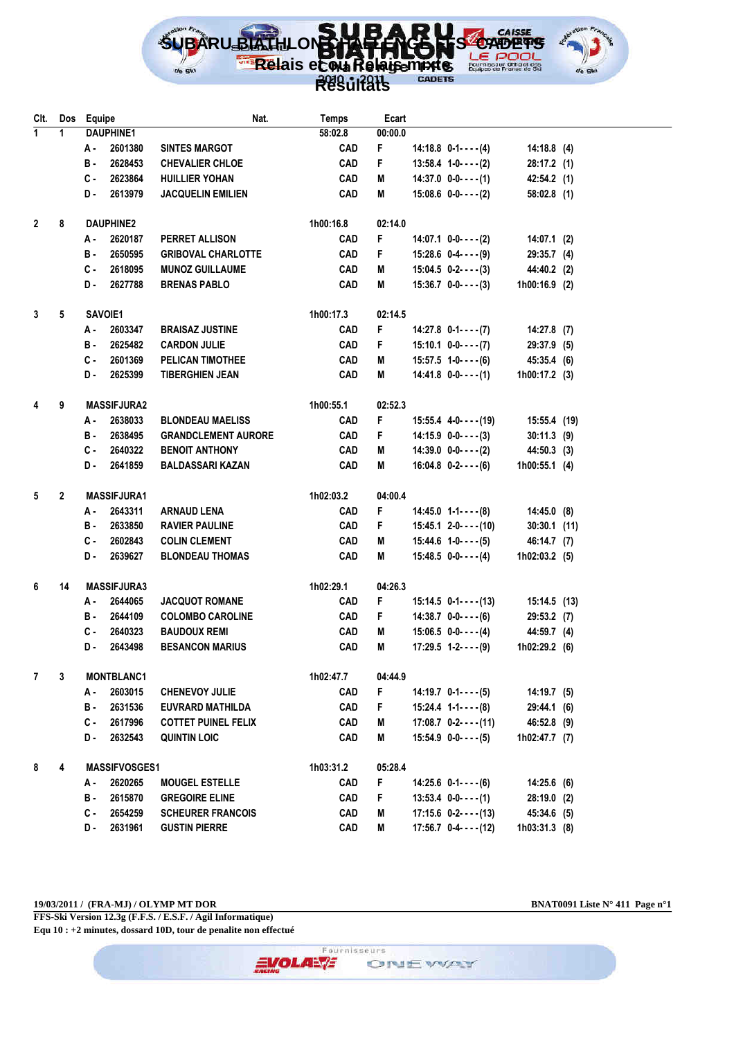

| CIt.         | Dos          | Equipe            |                      | Nat.                       | <b>Temps</b> | Ecart   |                              |                 |  |
|--------------|--------------|-------------------|----------------------|----------------------------|--------------|---------|------------------------------|-----------------|--|
| $\mathbf{1}$ | 1            |                   | <b>DAUPHINE1</b>     |                            | 58:02.8      | 00:00.0 |                              |                 |  |
|              |              | А.                | 2601380              | <b>SINTES MARGOT</b>       | <b>CAD</b>   | F       | $14:18.8$ $0-1$ ---(4)       | $14:18.8$ (4)   |  |
|              |              | в.                | 2628453              | <b>CHEVALIER CHLOE</b>     | CAD          | F       | $13:58.4$ $1-0$ - $ (2)$     | $28:17.2$ (1)   |  |
|              |              | С.                | 2623864              | <b>HUILLIER YOHAN</b>      | CAD          | Μ       | $14:37.0$ 0-0- $\cdots$ (1)  | 42:54.2 (1)     |  |
|              |              | D-                | 2613979              | <b>JACQUELIN EMILIEN</b>   | <b>CAD</b>   | M       | $15:08.6$ 0-0- $\cdots$ (2)  | $58:02.8$ (1)   |  |
| $\mathbf{2}$ | 8            |                   | <b>DAUPHINE2</b>     |                            | 1h00:16.8    | 02:14.0 |                              |                 |  |
|              |              | А.                | 2620187              | <b>PERRET ALLISON</b>      | <b>CAD</b>   | F       | $14:07.1$ $0-0$ ----(2)      | $14:07.1$ (2)   |  |
|              |              | <b>B</b> -        | 2650595              | <b>GRIBOVAL CHARLOTTE</b>  | <b>CAD</b>   | F       | $15:28.6$ 0-4- $-(-19)$      | $29:35.7$ (4)   |  |
|              |              | C.                | 2618095              | <b>MUNOZ GUILLAUME</b>     | CAD          | M       | $15:04.5$ $0-2---(3)$        | 44:40.2 (2)     |  |
|              |              | D-                | 2627788              | <b>BRENAS PABLO</b>        | <b>CAD</b>   | M       | $15:36.7$ 0-0- $\cdots$ (3)  | 1h00:16.9 (2)   |  |
| 3            | 5            | SAVOIE1           |                      |                            | 1h00:17.3    | 02:14.5 |                              |                 |  |
|              |              | А.                | 2603347              | <b>BRAISAZ JUSTINE</b>     | <b>CAD</b>   | F       | $14:27.8$ 0-1- $\cdots$ (7)  | $14:27.8$ (7)   |  |
|              |              | в.                | 2625482              | <b>CARDON JULIE</b>        | CAD          | F       | $15:10.1$ 0-0- $\cdots$ (7)  | 29:37.9 (5)     |  |
|              |              | C -               | 2601369              | <b>PELICAN TIMOTHEE</b>    | CAD          | Μ       | $15:57.5$ $1-0  (6)$         | 45:35.4 (6)     |  |
|              |              | D.                | 2625399              | <b>TIBERGHIEN JEAN</b>     | <b>CAD</b>   | M       | $14:41.8$ 0-0- $\cdots$ (1)  | 1h00:17.2 (3)   |  |
|              |              |                   |                      |                            |              |         |                              |                 |  |
| 4            | 9            |                   | <b>MASSIFJURA2</b>   |                            | 1h00:55.1    | 02:52.3 |                              |                 |  |
|              |              | А.                | 2638033              | <b>BLONDEAU MAELISS</b>    | <b>CAD</b>   | F       | $15:55.4$ 4-0- $\cdots$ (19) | 15:55.4 (19)    |  |
|              |              | в.                | 2638495              | <b>GRANDCLEMENT AURORE</b> | <b>CAD</b>   | F       | $14:15.9$ 0-0- $\cdots$ (3)  | $30:11.3$ (9)   |  |
|              |              | С.                | 2640322              | <b>BENOIT ANTHONY</b>      | CAD          | Μ       | $14:39.0$ $0-0-(-1)$         | 44:50.3 (3)     |  |
|              |              | D.                | 2641859              | <b>BALDASSARI KAZAN</b>    | CAD          | М       | $16:04.8$ $0-2---(6)$        | $1h00:55.1$ (4) |  |
| 5            | $\mathbf{2}$ |                   | <b>MASSIFJURA1</b>   |                            | 1h02:03.2    | 04:00.4 |                              |                 |  |
|              |              | А -               | 2643311              | <b>ARNAUD LENA</b>         | <b>CAD</b>   | F       | $14:45.0$ $1-1-(-8)$         | $14:45.0$ (8)   |  |
|              |              | в.                | 2633850              | <b>RAVIER PAULINE</b>      | CAD          | F       | $15:45.1$ 2-0- $\cdots$ (10) | $30:30.1$ (11)  |  |
|              |              | С.                | 2602843              | <b>COLIN CLEMENT</b>       | <b>CAD</b>   | Μ       | $15:44.6$ $1-0$ ---(5)       | 46:14.7 (7)     |  |
|              |              | D-                | 2639627              | <b>BLONDEAU THOMAS</b>     | <b>CAD</b>   | M       | $15:48.5$ 0-0- $\cdots$ (4)  | $1h02:03.2$ (5) |  |
| 6            | 14           |                   | <b>MASSIFJURA3</b>   |                            | 1h02:29.1    | 04:26.3 |                              |                 |  |
|              |              | А.                | 2644065              | <b>JACQUOT ROMANE</b>      | <b>CAD</b>   | F       | $15:14.5$ 0-1- $--(13)$      | 15:14.5 (13)    |  |
|              |              | в.                | 2644109              | <b>COLOMBO CAROLINE</b>    | <b>CAD</b>   | F       | $14:38.7$ 0-0- $-(-6)$       | 29:53.2 (7)     |  |
|              |              | $c -$             | 2640323              | <b>BAUDOUX REMI</b>        | <b>CAD</b>   | M       | $15:06.5$ 0-0- $--(4)$       | 44:59.7 (4)     |  |
|              |              | D.                | 2643498              | <b>BESANCON MARIUS</b>     | <b>CAD</b>   | M       | $17:29.5$ $1-2---(9)$        | 1h02:29.2 (6)   |  |
| 7            | 3            | <b>MONTBLANC1</b> |                      | 1h02:47.7                  | 04:44.9      |         |                              |                 |  |
|              |              | А -               | 2603015              | <b>CHENEVOY JULIE</b>      | CAD          | F.      | $14:19.7$ 0-1- $\cdots$ (5)  | $14:19.7$ (5)   |  |
|              |              | в.                | 2631536              | <b>EUVRARD MATHILDA</b>    | CAD          | F.      | $15:24.4$ $1-1-\cdots(8)$    | 29:44.1 (6)     |  |
|              |              | C -               | 2617996              | <b>COTTET PUINEL FELIX</b> | CAD          | M       | $17:08.7$ $0-2$ ----(11)     | 46:52.8 (9)     |  |
|              |              | D-                | 2632543              | <b>QUINTIN LOIC</b>        | CAD          | M       | $15:54.9$ $0-0- - (5)$       | 1h02:47.7 (7)   |  |
|              |              |                   |                      |                            |              |         |                              |                 |  |
| 8            | 4            |                   | <b>MASSIFVOSGES1</b> |                            | 1h03:31.2    | 05:28.4 |                              |                 |  |
|              |              | А -               | 2620265              | <b>MOUGEL ESTELLE</b>      | <b>CAD</b>   | F       | $14:25.6$ 0-1- $\cdots$ (6)  | 14:25.6(6)      |  |
|              |              | в.                | 2615870              | <b>GREGOIRE ELINE</b>      | CAD          | F.      | $13:53.4$ 0-0- $--(1)$       | 28:19.0 (2)     |  |
|              |              | с.                | 2654259              | <b>SCHEURER FRANCOIS</b>   | CAD          | Μ       | $17:15.6$ $0-2---(13)$       | 45:34.6 (5)     |  |
|              |              | D.                | 2631961              | <b>GUSTIN PIERRE</b>       | CAD          | M       | $17:56.7$ 0-4- $\cdots$ (12) | $1h03:31.3$ (8) |  |

Fournisseurs

ONEWAY

**EVOLARS** 

**19/03/2011 / (FRA-MJ) / OLYMP MT DOR BNAT0091 Liste N° 411 Page n°1 FFS-Ski Version 12.3g (F.F.S. / E.S.F. / Agil Informatique)**

**Equ 10 : +2 minutes, dossard 10D, tour de penalite non effectué**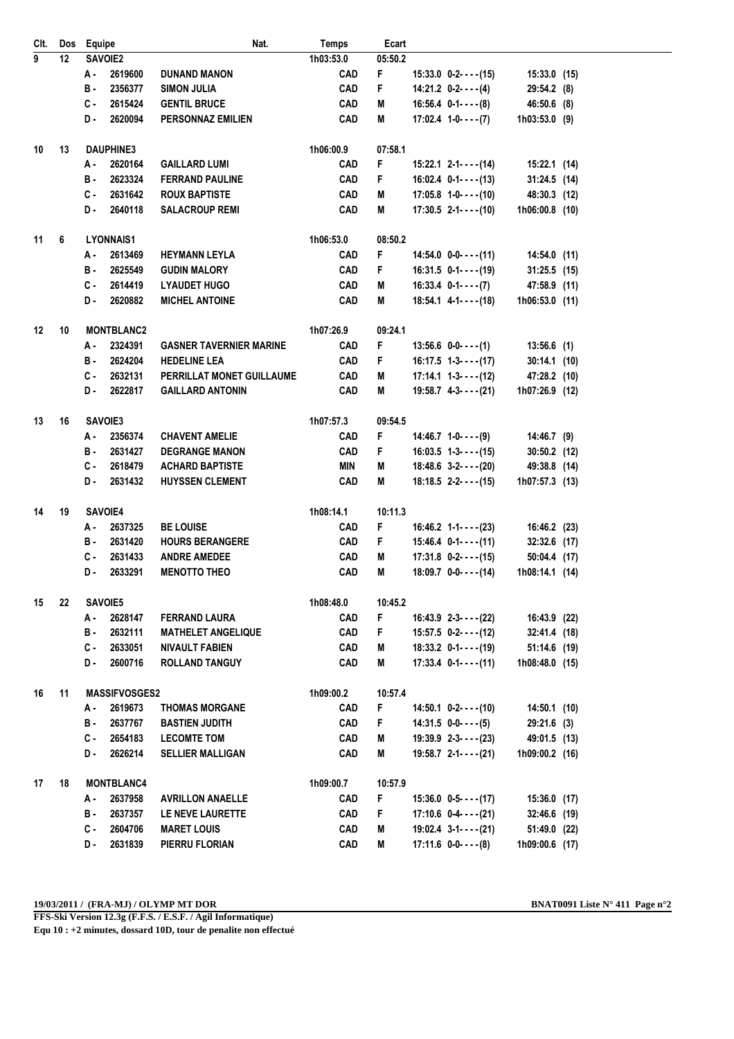| CIt. | Dos | Equipe               | Nat.                           | <b>Temps</b> | Ecart   |                                |                |  |
|------|-----|----------------------|--------------------------------|--------------|---------|--------------------------------|----------------|--|
| 9    | 12  | SAVOIE2              |                                | 1h03:53.0    | 05:50.2 |                                |                |  |
|      |     | 2619600<br>А.        | <b>DUNAND MANON</b>            | <b>CAD</b>   | F       | $15:33.0$ $0-2---(15)$         | $15:33.0$ (15) |  |
|      |     | 2356377<br>в.        | <b>SIMON JULIA</b>             | <b>CAD</b>   | F.      | $14:21.2$ $0-2-(-4)$           | 29:54.2 (8)    |  |
|      |     | С.<br>2615424        | <b>GENTIL BRUCE</b>            | <b>CAD</b>   | M       | $16:56.4$ $0-1-\cdots(8)$      | 46:50.6 (8)    |  |
|      |     | 2620094<br>D-        | PERSONNAZ EMILIEN              | <b>CAD</b>   | M       | $17:02.4$ $1-0$ - $\cdots$ (7) | 1h03:53.0 (9)  |  |
| 10   | 13  | <b>DAUPHINE3</b>     |                                | 1h06:00.9    | 07:58.1 |                                |                |  |
|      |     | 2620164<br>А -       | <b>GAILLARD LUMI</b>           | <b>CAD</b>   | F       | $15:22.1$ $2-1$ $2-1$ $(14)$   | 15:22.1 (14)   |  |
|      |     | 2623324<br>в.        | <b>FERRAND PAULINE</b>         | <b>CAD</b>   | F.      | $16:02.4$ $0-1$ ---(13)        | $31:24.5$ (14) |  |
|      |     | 2631642<br>C -       | <b>ROUX BAPTISTE</b>           | <b>CAD</b>   | M       | $17:05.8$ $1-0$ - $(10)$       | 48:30.3 (12)   |  |
|      |     | 2640118<br>D-        | <b>SALACROUP REMI</b>          | <b>CAD</b>   | M       | $17:30.5$ 2-1- $\cdots$ (10)   | 1h06:00.8 (10) |  |
| 11   | 6   | <b>LYONNAIS1</b>     |                                | 1h06:53.0    | 08:50.2 |                                |                |  |
|      |     | 2613469<br>А.        | <b>HEYMANN LEYLA</b>           | <b>CAD</b>   | F       | $14:54.0$ 0-0- - - - (11)      | 14:54.0 (11)   |  |
|      |     | 2625549<br>в.        | <b>GUDIN MALORY</b>            | <b>CAD</b>   | F.      | $16:31.5$ $0-1-\cdots(19)$     | $31:25.5$ (15) |  |
|      |     | C -<br>2614419       | <b>LYAUDET HUGO</b>            | <b>CAD</b>   | Μ       | $16:33.4$ $0-1$ ----(7)        | 47:58.9 (11)   |  |
|      |     | D.<br>2620882        | <b>MICHEL ANTOINE</b>          | <b>CAD</b>   | M       | $18:54.1$ $4-1-(-18)$          | 1h06:53.0 (11) |  |
| 12   | 10  | <b>MONTBLANC2</b>    |                                | 1h07:26.9    | 09:24.1 |                                |                |  |
|      |     | 2324391<br>А.        | <b>GASNER TAVERNIER MARINE</b> | <b>CAD</b>   | F       | $13:56.6$ 0-0- $\cdots$ (1)    | $13:56.6$ (1)  |  |
|      |     | в.<br>2624204        | <b>HEDELINE LEA</b>            | <b>CAD</b>   | F       | $16:17.5$ $1-3---(17)$         | $30:14.1$ (10) |  |
|      |     | C -<br>2632131       | PERRILLAT MONET GUILLAUME      | <b>CAD</b>   | Μ       | $17:14.1$ $1-3-(-12)$          | 47:28.2 (10)   |  |
|      |     | D-<br>2622817        | <b>GAILLARD ANTONIN</b>        | <b>CAD</b>   | M       | $19:58.7$ 4-3- $\cdots$ (21)   | 1h07:26.9 (12) |  |
| 13   | 16  | SAVOIE3              |                                | 1h07:57.3    | 09:54.5 |                                |                |  |
|      |     | А -<br>2356374       | <b>CHAVENT AMELIE</b>          | <b>CAD</b>   | F       | $14:46.7$ $1-0$ - $\cdots$ (9) | 14:46.7 (9)    |  |
|      |     | 2631427<br>в.        | <b>DEGRANGE MANON</b>          | <b>CAD</b>   | F       | $16:03.5$ $1-3-(-15)$          | $30:50.2$ (12) |  |
|      |     | 2618479<br>С.        | <b>ACHARD BAPTISTE</b>         | <b>MIN</b>   | Μ       | $18:48.6$ 3-2- $\cdots$ (20)   | 49:38.8 (14)   |  |
|      |     | 2631432<br>D-        | <b>HUYSSEN CLEMENT</b>         | <b>CAD</b>   | M       | $18:18.5$ 2-2- $\cdots$ (15)   | 1h07:57.3 (13) |  |
| 14   | 19  | SAVOIE4              |                                | 1h08:14.1    | 10:11.3 |                                |                |  |
|      |     | 2637325<br>А.        | <b>BE LOUISE</b>               | <b>CAD</b>   | F       | $16:46.2$ $1-1-\cdots(23)$     | 16:46.2 (23)   |  |
|      |     | 2631420<br>в.        | <b>HOURS BERANGERE</b>         | <b>CAD</b>   | F       | $15:46.4$ 0-1----(11)          | 32:32.6 (17)   |  |
|      |     | 2631433<br>С.        | <b>ANDRE AMEDEE</b>            | <b>CAD</b>   | Μ       | $17:31.8$ $0-2---(15)$         | 50:04.4 (17)   |  |
|      |     | 2633291<br>D-        | <b>MENOTTO THEO</b>            | <b>CAD</b>   | M       | $18:09.7$ 0-0- $-(-14)$        | 1h08:14.1 (14) |  |
| 15   | 22  | SAVOIE5              |                                | 1h08:48.0    | 10:45.2 |                                |                |  |
|      |     | 2628147<br>А.        | <b>FERRAND LAURA</b>           | <b>CAD</b>   | F.      | $16:43.9$ $2-3---(22)$         | 16:43.9 (22)   |  |
|      |     | в.<br>2632111        | <b>MATHELET ANGELIQUE</b>      | <b>CAD</b>   | F.      | $15:57.5$ 0-2----(12)          | 32:41.4 (18)   |  |
|      |     | C -<br>2633051       | <b>NIVAULT FABIEN</b>          | <b>CAD</b>   | M       | $18:33.2$ $0-1-(-19)$          | 51:14.6 (19)   |  |
|      |     | D-<br>2600716        | <b>ROLLAND TANGUY</b>          | <b>CAD</b>   | M       | $17:33.4$ $0-1$ - - - - (11)   | 1h08:48.0 (15) |  |
| 16   | 11  | <b>MASSIFVOSGES2</b> |                                | 1h09:00.2    | 10:57.4 |                                |                |  |
|      |     | А.<br>2619673        | <b>THOMAS MORGANE</b>          | <b>CAD</b>   | F       | $14:50.1$ 0-2- - - - (10)      | $14:50.1$ (10) |  |
|      |     | в.<br>2637767        | <b>BASTIEN JUDITH</b>          | <b>CAD</b>   | F       | $14:31.5$ 0-0- $\cdots$ (5)    | $29:21.6$ (3)  |  |
|      |     | $c -$<br>2654183     | <b>LECOMTE TOM</b>             | <b>CAD</b>   | M       | $19:39.9$ $2-3-(-23)$          | 49:01.5 (13)   |  |
|      |     | D.<br>2626214        | <b>SELLIER MALLIGAN</b>        | <b>CAD</b>   | M       | $19:58.7$ 2-1- $\cdots$ (21)   | 1h09:00.2 (16) |  |
| 17   | 18  | <b>MONTBLANC4</b>    |                                | 1h09:00.7    | 10:57.9 |                                |                |  |
|      |     | 2637958<br>А -       | <b>AVRILLON ANAELLE</b>        | <b>CAD</b>   | F       | $15:36.0$ $0-5$ - $--(17)$     | 15:36.0 (17)   |  |
|      |     | в.<br>2637357        | LE NEVE LAURETTE               | <b>CAD</b>   | F.      | $17:10.6$ 0-4- $\cdots$ (21)   | 32:46.6 (19)   |  |
|      |     | С.<br>2604706        | <b>MARET LOUIS</b>             | <b>CAD</b>   | M       | $19:02.4$ 3-1- $\cdots$ (21)   | 51:49.0 (22)   |  |
|      |     | D.<br>2631839        | PIERRU FLORIAN                 | <b>CAD</b>   | M       | $17:11.6$ $0-0---(8)$          | 1h09:00.6 (17) |  |
|      |     |                      |                                |              |         |                                |                |  |

**FFS-Ski Version 12.3g (F.F.S. / E.S.F. / Agil Informatique) Equ 10 : +2 minutes, dossard 10D, tour de penalite non effectué**